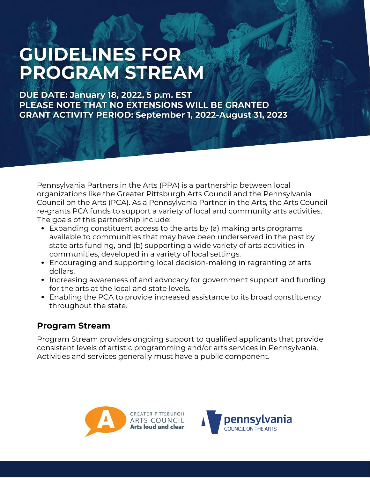## **GUIDELINES FOR PROGRAM STREAM**

**DUE DATE: January 18, 2022, 5 p.m. EST** PLEASE NOTE THAT NO EXTENSIONS WILL BE GRANTED **GRANT ACTIVITY PERIOD: September 1, 2022-August 31, 2023** 

Pennsylvania Partners in the Arts (PPA) is a partnership between local organizations like the Greater Pittsburgh Arts Council and the Pennsylvania Council on the Arts (PCA). As a Pennsylvania Partner in the Arts, the Arts Council re-grants PCA funds to support a variety of local and community arts activities. The goals of this partnership include:

- Expanding constituent access to the arts by (a) making arts programs available to communities that may have been underserved in the past by state arts funding, and (b) supporting a wide variety of arts activities in communities, developed in a variety of local settings.
- Encouraging and supporting local decision-making in regranting of arts dollars.
- Increasing awareness of and advocacy for government support and funding for the arts at the local and state levels.
- Enabling the PCA to provide increased assistance to its broad constituency throughout the state.

#### **Program Stream**

Program Stream provides ongoing support to qualified applicants that provide consistent levels of artistic programming and/or arts services in Pennsylvania. Activities and services generally must have a public component.



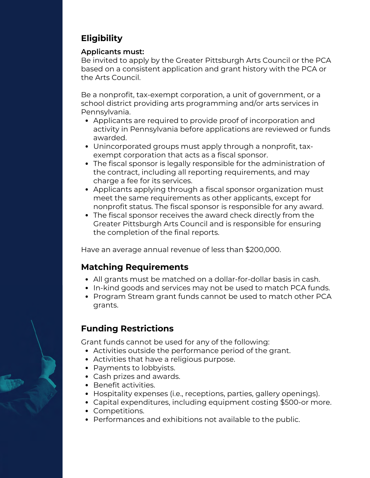### **Eligibility**

#### **Applicants must:**

Be invited to apply by the Greater Pittsburgh Arts Council or the PCA based on a consistent application and grant history with the PCA or the Arts Council.

Be a nonprofit, tax-exempt corporation, a unit of government, or a school district providing arts programming and/or arts services in Pennsylvania.

- Applicants are required to provide proof of incorporation and activity in Pennsylvania before applications are reviewed or funds awarded.
- Unincorporated groups must apply through a nonprofit, taxexempt corporation that acts as a fiscal sponsor.
- The fiscal sponsor is legally responsible for the administration of the contract, including all reporting requirements, and may charge a fee for its services.
- Applicants applying through a fiscal sponsor organization must meet the same requirements as other applicants, except for nonprofit status. The fiscal sponsor is responsible for any award.
- The fiscal sponsor receives the award check directly from the Greater Pittsburgh Arts Council and is responsible for ensuring the completion of the final reports.

Have an average annual revenue of less than \$200,000.

#### **Matching Requirements**

- All grants must be matched on a dollar-for-dollar basis in cash.
- In-kind goods and services may not be used to match PCA funds.
- Program Stream grant funds cannot be used to match other PCA grants.

#### **Funding Restrictions**

Grant funds cannot be used for any of the following:

- Activities outside the performance period of the grant.
- Activities that have a religious purpose.
- Payments to lobbyists.
- Cash prizes and awards.
- Benefit activities.
- Hospitality expenses (i.e., receptions, parties, gallery openings).
- Capital expenditures, including equipment costing \$500-or more.
- Competitions.
- Performances and exhibitions not available to the public.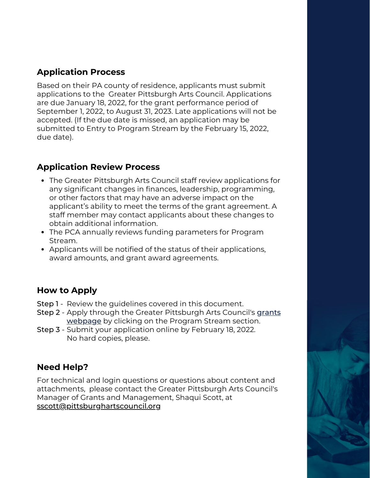#### **Application Process**

Based on their PA county of residence, applicants must submit applications to the Greater Pittsburgh Arts Council. Applications are due January 18, 2022, for the grant performance period of September 1, 2022, to August 31, 2023. Late applications will not be accepted. (If the due date is missed, an application may be submitted to Entry to Program Stream by the February 15, 2022, due date).

#### **Application Review Process**

- The Greater Pittsburgh Arts Council staff review applications for any significant changes in finances, leadership, programming, or other factors that may have an adverse impact on the applicant's ability to meet the terms of the grant agreement. A staff member may contact applicants about these changes to obtain additional information.
- The PCA annually reviews funding parameters for Program Stream.
- Applicants will be notified of the status of their applications, award amounts, and grant award agreements.

#### **How to Apply**

- Step 1 Review the guidelines covered in this document.
- **Step 2** [Apply through the Greater Pittsburgh Arts Council's](https://www.pittsburghartscouncil.org/programs/grants) g<u>rants</u> webpage by clicking on the Program Stream section.
- Step 3 Submit your application online by February 18, 2022. No hard copies, please.

#### **Need Help?**

For technical and login questions or questions about content and attachments, please contact the Greater Pittsburgh Arts Council's Manager of Grants and Management, Shaqui Scott, at sscott@pittsburghartscouncil.org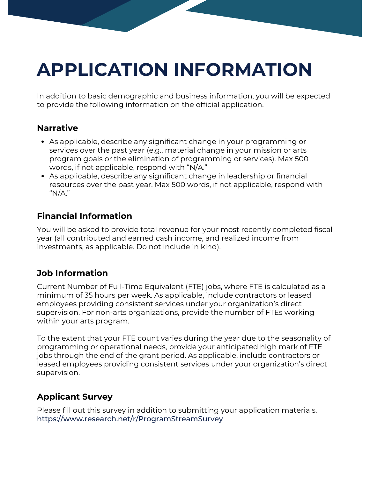# **APPLICATION INFORMATION**

[In addition to basic demographic and business information, you will be expected](https://www.arts.pa.gov/) to provide the following information on the official application.

#### **Narrative**

- As applicable, describe any significant change in your programming or services over the past year (e.g., material change in your mission or arts program goals or the elimination of programming or services). Max 500 words, if not applicable, respond with "N/A."
- As applicable, describe any significant change in leadership or financial [resources over the past year. Max 500 words, if not applicable, respond with](https://www.arts.pa.gov/) "N/A."

#### **Financial Information**

[You will be asked to provide total revenue for your most recently completed fiscal](https://www.arts.pa.gov/) year (all contributed and earned cash income, and realized income from investments, as applicable. Do not include in kind).

#### **Job Information**

Current Number of Full-Time Equivalent (FTE) jobs, where FTE is calculated as a minimum of 35 hours per week. As applicable, include contractors or leased employees providing consistent services under your organization's direct supervision. For non-arts organizations, provide the number of FTEs working within your arts program.

[To the extent that your FTE count varies during the year due to the seasonality of](https://www.arts.pa.gov/) programming or operational needs, provide your anticipated high mark of FTE jobs through the end of the grant period. As applicable, include contractors or leased employees providing consistent services under your organization's direct supervision.

#### **Applicant Survey**

[Please fill out this survey in addition to submitting your application materials.](https://www.arts.pa.gov/) <https://www.research.net/r/ProgramStreamSurvey>